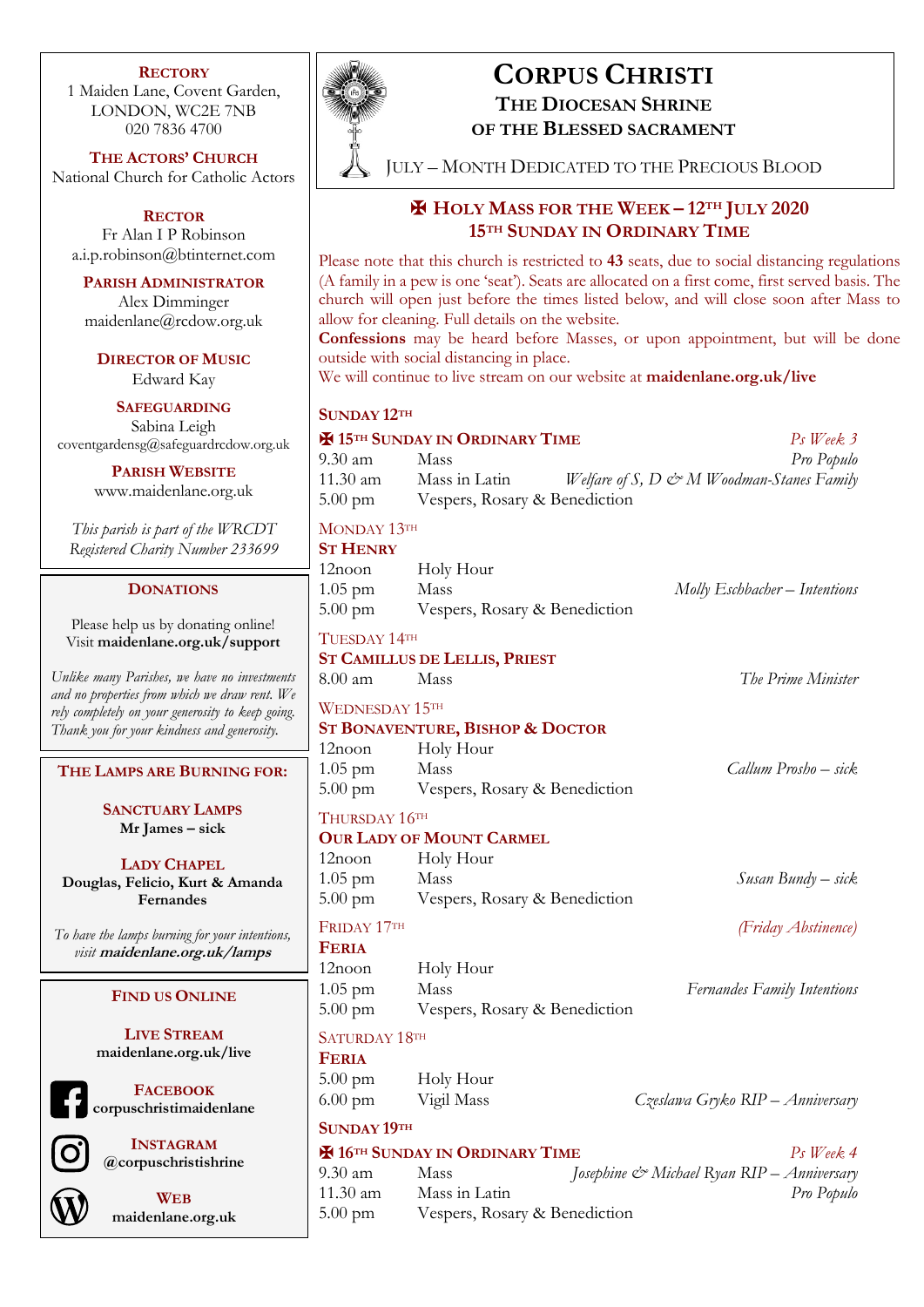#### **RECTORY**

1 Maiden Lane, Covent Garden, LONDON, WC2E 7NB 020 7836 4700

**THE ACTORS' CHURCH** National Church for Catholic Actors

**RECTOR** Fr Alan I P Robinson a.i.p.robinson@btinternet.com

**PARISH ADMINISTRATOR** Alex Dimminger maidenlane@rcdow.org.uk

**DIRECTOR OF MUSIC** Edward Kay

**SAFEGUARDING** Sabina Leigh coventgardensg@safeguardrcdow.org.uk

> **PARISH WEBSITE** www.maidenlane.org.uk

*This parish is part of the WRCDT Registered Charity Number 233699*

### **DONATIONS**

Please help us by donating online! Visit **maidenlane.org.uk/support**

*Unlike many Parishes, we have no investments and no properties from which we draw rent. We rely completely on your generosity to keep going. Thank you for your kindness and generosity.* 

**THE LAMPS ARE BURNING FOR:**

**SANCTUARY LAMPS Mr James – sick**

**LADY CHAPEL Douglas, Felicio, Kurt & Amanda Fernandes**

*To have the lamps burning for your intentions, visit* **maidenlane.org.uk/lamps**

# **FIND US ONLINE**

**LIVE STREAM maidenlane.org.uk/live**



**FACEBOOK corpuschristimaidenlane**



**INSTAGRAM @corpuschristishrine**



**WEB maidenlane.org.uk**



# **CORPUS CHRISTI**

**THE DIOCESAN SHRINE OF THE BLESSED SACRAMENT**

JULY – MONTH DEDICATED TO THE PRECIOUS BLOOD

# ✠ **HOLY MASS FOR THE WEEK – 12TH JULY 2020 15TH SUNDAY IN ORDINARY TIME**

Please note that this church is restricted to **43** seats, due to social distancing regulations (A family in a pew is one 'seat'). Seats are allocated on a first come, first served basis. The church will open just before the times listed below, and will close soon after Mass to allow for cleaning. Full details on the website.

**Confessions** may be heard before Masses, or upon appointment, but will be done outside with social distancing in place.

We will continue to live stream on our website at **maidenlane.org.uk/live**

# **SUNDAY 12TH**

| <b>H</b> 15 <sup>TH</sup> SUNDAY IN ORDINARY TIME<br>$Ps$ Week 3 |                                                   |                                           |
|------------------------------------------------------------------|---------------------------------------------------|-------------------------------------------|
| 9.30 am                                                          | Mass                                              | Pro Populo                                |
| 11.30 am                                                         | Mass in Latin                                     | Welfare of S, D & M Woodman-Stanes Family |
| $5.00 \text{ pm}$                                                | Vespers, Rosary & Benediction                     |                                           |
| MONDAY 13TH<br><b>ST HENRY</b>                                   |                                                   |                                           |
| 12noon                                                           | Holy Hour                                         |                                           |
| $1.05$ pm                                                        | Mass                                              | Molly Eschbacher - Intentions             |
| $5.00 \text{ pm}$                                                | Vespers, Rosary & Benediction                     |                                           |
| TUESDAY 14TH                                                     |                                                   |                                           |
| <b>ST CAMILLUS DE LELLIS, PRIEST</b>                             |                                                   |                                           |
| $8.00 \text{ am}$                                                | Mass                                              | The Prime Minister                        |
| <b>WEDNESDAY 15TH</b>                                            |                                                   |                                           |
|                                                                  | <b>ST BONAVENTURE, BISHOP &amp; DOCTOR</b>        |                                           |
| 12noon                                                           | Holy Hour                                         |                                           |
| $1.05$ pm                                                        | Mass                                              | Callum Prosho - sick                      |
| $5.00 \text{ pm}$                                                | Vespers, Rosary & Benediction                     |                                           |
| THURSDAY 16TH                                                    |                                                   |                                           |
|                                                                  | <b>OUR LADY OF MOUNT CARMEL</b>                   |                                           |
| $12$ noon                                                        | Holy Hour                                         |                                           |
| $1.05$ pm                                                        | Mass                                              | Susan Bundy – sick                        |
| $5.00 \text{ pm}$                                                | Vespers, Rosary & Benediction                     |                                           |
| FRIDAY 17TH                                                      |                                                   | (Friday Abstinence)                       |
| <b>FERIA</b>                                                     |                                                   |                                           |
| $12$ noon                                                        | Holy Hour                                         |                                           |
| $1.05$ pm                                                        | Mass                                              | <b>Fernandes Family Intentions</b>        |
| $5.00$ pm                                                        | Vespers, Rosary & Benediction                     |                                           |
| SATURDAY 18TH                                                    |                                                   |                                           |
| <b>FERIA</b>                                                     |                                                   |                                           |
| $5.00 \text{ pm}$                                                | Holy Hour                                         |                                           |
| $6.00$ pm                                                        | Vigil Mass                                        | Czesława Gryko RIP - Anniversary          |
| <b>SUNDAY 19TH</b>                                               |                                                   |                                           |
|                                                                  | <b>H</b> 16 <sup>TH</sup> SUNDAY IN ORDINARY TIME | $Ps$ Week 4                               |

# 9.30 am Mass *Josephine & Michael Ryan RIP – Anniversary* 11.30 am Mass in Latin *Pro Populo*

5.00 pm Vespers, Rosary & Benediction